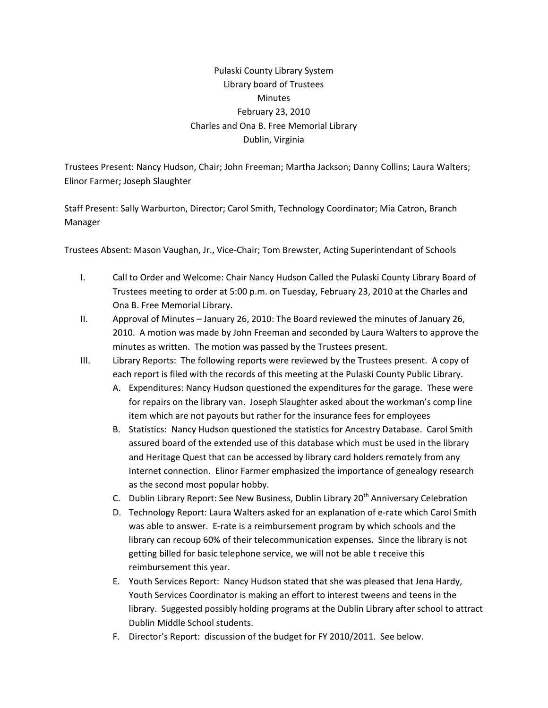## Pulaski County Library System Library board of Trustees **Minutes** February 23, 2010 Charles and Ona B. Free Memorial Library Dublin, Virginia

Trustees Present: Nancy Hudson, Chair; John Freeman; Martha Jackson; Danny Collins; Laura Walters; Elinor Farmer; Joseph Slaughter

Staff Present: Sally Warburton, Director; Carol Smith, Technology Coordinator; Mia Catron, Branch Manager

Trustees Absent: Mason Vaughan, Jr., Vice‐Chair; Tom Brewster, Acting Superintendant of Schools

- I. Call to Order and Welcome: Chair Nancy Hudson Called the Pulaski County Library Board of Trustees meeting to order at 5:00 p.m. on Tuesday, February 23, 2010 at the Charles and Ona B. Free Memorial Library.
- II. Approval of Minutes January 26, 2010: The Board reviewed the minutes of January 26, 2010. A motion was made by John Freeman and seconded by Laura Walters to approve the minutes as written. The motion was passed by the Trustees present.
- III. Library Reports: The following reports were reviewed by the Trustees present. A copy of each report is filed with the records of this meeting at the Pulaski County Public Library.
	- A. Expenditures: Nancy Hudson questioned the expenditures for the garage. These were for repairs on the library van. Joseph Slaughter asked about the workman's comp line item which are not payouts but rather for the insurance fees for employees
	- B. Statistics: Nancy Hudson questioned the statistics for Ancestry Database. Carol Smith assured board of the extended use of this database which must be used in the library and Heritage Quest that can be accessed by library card holders remotely from any Internet connection. Elinor Farmer emphasized the importance of genealogy research as the second most popular hobby.
	- C. Dublin Library Report: See New Business, Dublin Library 20<sup>th</sup> Anniversary Celebration
	- D. Technology Report: Laura Walters asked for an explanation of e‐rate which Carol Smith was able to answer. E-rate is a reimbursement program by which schools and the library can recoup 60% of their telecommunication expenses. Since the library is not getting billed for basic telephone service, we will not be able t receive this reimbursement this year.
	- E. Youth Services Report: Nancy Hudson stated that she was pleased that Jena Hardy, Youth Services Coordinator is making an effort to interest tweens and teens in the library. Suggested possibly holding programs at the Dublin Library after school to attract Dublin Middle School students.
	- F. Director's Report: discussion of the budget for FY 2010/2011. See below.